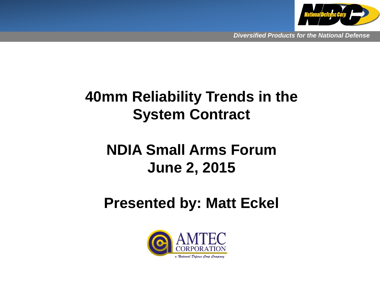

### **40mm Reliability Trends in the System Contract**

### **NDIA Small Arms Forum June 2, 2015**

### **Presented by: Matt Eckel**

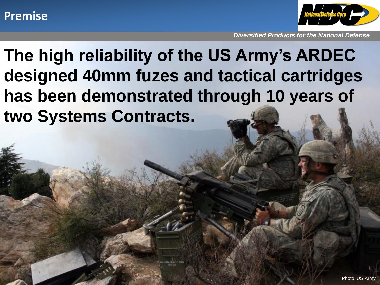#### **Premise**



*Diversified Products for the National Defense*

**The high reliability of the US Army's ARDEC designed 40mm fuzes and tactical cartridges has been demonstrated through 10 years of two Systems Contracts.**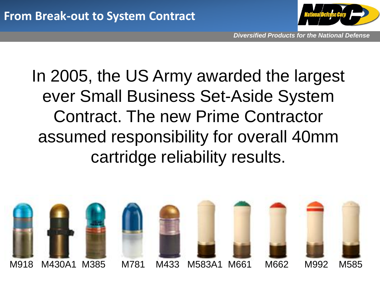

### In 2005, the US Army awarded the largest ever Small Business Set-Aside System Contract. The new Prime Contractor assumed responsibility for overall 40mm cartridge reliability results.

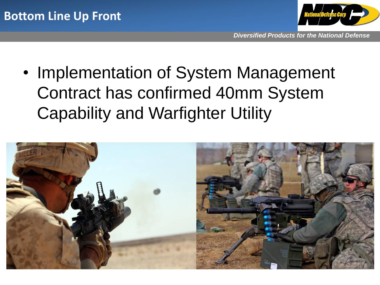

• Implementation of System Management Contract has confirmed 40mm System Capability and Warfighter Utility

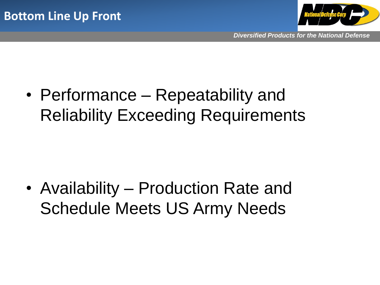

• Performance – Repeatability and Reliability Exceeding Requirements

• Availability – Production Rate and Schedule Meets US Army Needs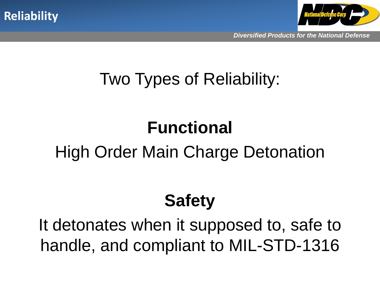



### Two Types of Reliability:

## **Functional**

### High Order Main Charge Detonation

### **Safety**

It detonates when it supposed to, safe to handle, and compliant to MIL-STD-1316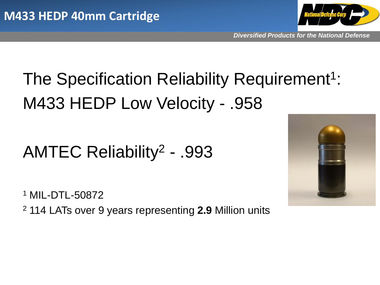

# The Specification Reliability Requirement<sup>1</sup>: M433 HEDP Low Velocity - .958

### AMTEC Reliability<sup>2</sup> - .993

<sup>1</sup> MIL-DTL-50872

<sup>2</sup> 114 LATs over 9 years representing **2.9** Million units

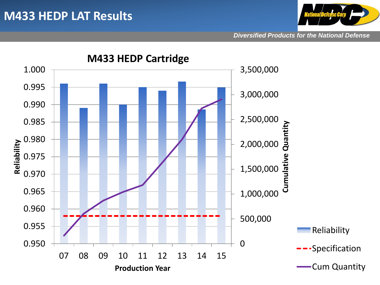

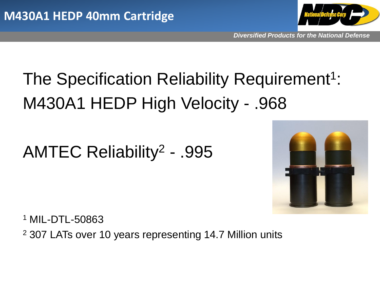

# The Specification Reliability Requirement<sup>1</sup>: M430A1 HEDP High Velocity - .968

### AMTEC Reliability<sup>2</sup> - .995



<sup>1</sup> MIL-DTL-50863 <sup>2</sup> 307 LATs over 10 years representing 14.7 Million units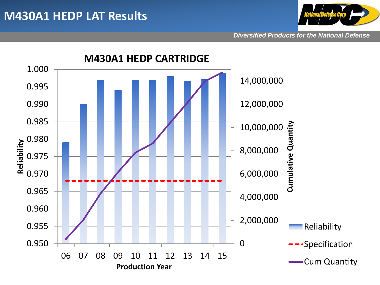

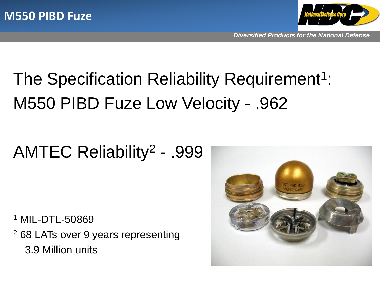

# The Specification Reliability Requirement<sup>1</sup>: M550 PIBD Fuze Low Velocity - .962

### AMTEC Reliability<sup>2</sup> - .999

<sup>1</sup> MIL-DTL-50869 <sup>2</sup> 68 LATs over 9 years representing 3.9 Million units

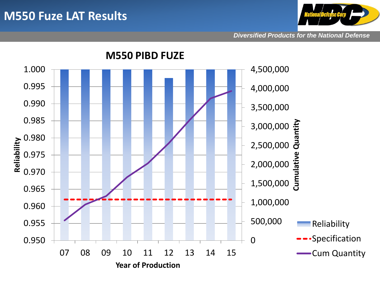#### **M550 Fuze LAT Results**



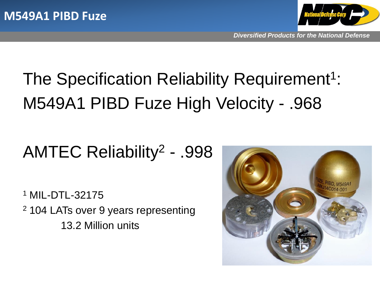

# The Specification Reliability Requirement<sup>1</sup>: M549A1 PIBD Fuze High Velocity - .968

### AMTEC Reliability<sup>2</sup> - .998

<sup>1</sup> MIL-DTL-32175 <sup>2</sup> 104 LATs over 9 years representing 13.2 Million units

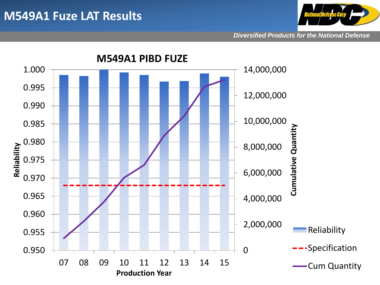#### **M549A1 Fuze LAT Results**



*Diversified Products for the National Defense*

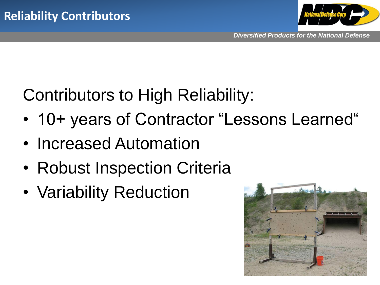

### Contributors to High Reliability:

- 10+ years of Contractor "Lessons Learned"
- Increased Automation
- Robust Inspection Criteria
- Variability Reduction

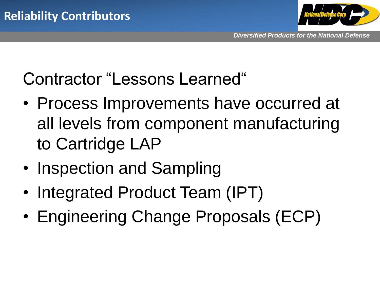

### Contractor "Lessons Learned"

- Process Improvements have occurred at all levels from component manufacturing to Cartridge LAP
- Inspection and Sampling
- Integrated Product Team (IPT)
- Engineering Change Proposals (ECP)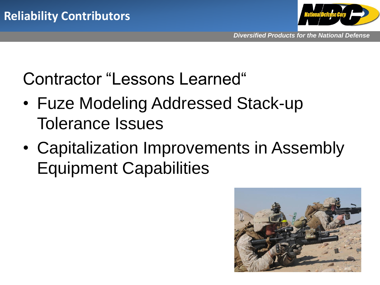

### Contractor "Lessons Learned"

- Fuze Modeling Addressed Stack-up Tolerance Issues
- Capitalization Improvements in Assembly Equipment Capabilities

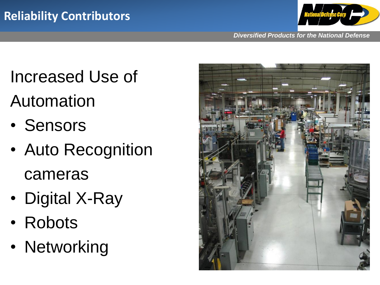

*Diversified Products for the National Defense*

## Increased Use of

## Automation

- Sensors
- Auto Recognition cameras
- Digital X-Ray
- Robots
- Networking

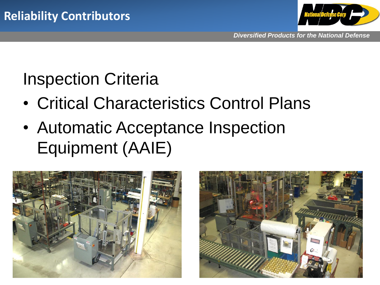

### Inspection Criteria

- Critical Characteristics Control Plans
- Automatic Acceptance Inspection Equipment (AAIE)



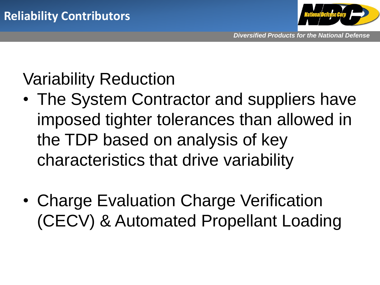

## Variability Reduction

- The System Contractor and suppliers have imposed tighter tolerances than allowed in the TDP based on analysis of key characteristics that drive variability
- Charge Evaluation Charge Verification (CECV) & Automated Propellant Loading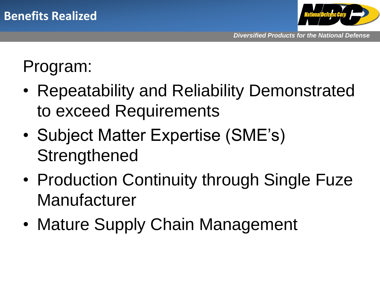![](_page_20_Picture_1.jpeg)

### Program:

- Repeatability and Reliability Demonstrated to exceed Requirements
- Subject Matter Expertise (SME's) **Strengthened**
- Production Continuity through Single Fuze Manufacturer
- Mature Supply Chain Management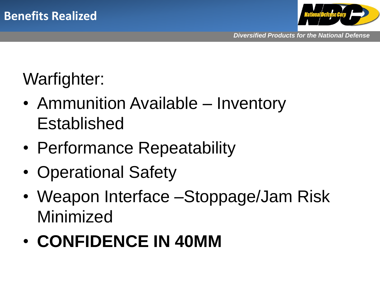![](_page_21_Picture_1.jpeg)

## Warfighter:

- Ammunition Available Inventory Established
- Performance Repeatability
- Operational Safety
- Weapon Interface –Stoppage/Jam Risk Minimized
- **CONFIDENCE IN 40MM**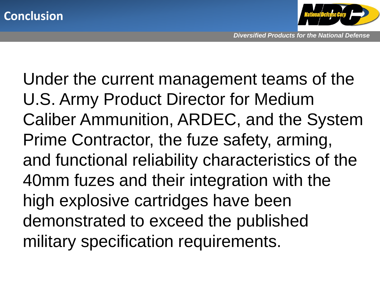![](_page_22_Picture_0.jpeg)

![](_page_22_Picture_1.jpeg)

Under the current management teams of the U.S. Army Product Director for Medium Caliber Ammunition, ARDEC, and the System Prime Contractor, the fuze safety, arming, and functional reliability characteristics of the 40mm fuzes and their integration with the high explosive cartridges have been demonstrated to exceed the published military specification requirements.